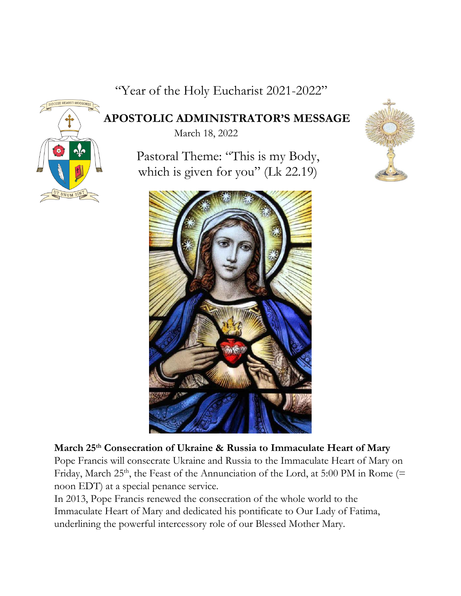"Year of the Holy Eucharist 2021-2022"



 **APOSTOLIC ADMINISTRATOR'S MESSAGE** 

March 18, 2022

 Pastoral Theme: "This is my Body, which is given for you" (Lk 22.19)





## **March 25th Consecration of Ukraine & Russia to Immaculate Heart of Mary**

Pope Francis will consecrate Ukraine and Russia to the Immaculate Heart of Mary on Friday, March 25<sup>th</sup>, the Feast of the Annunciation of the Lord, at 5:00 PM in Rome (= noon EDT) at a special penance service.

In 2013, Pope Francis renewed the consecration of the whole world to the Immaculate Heart of Mary and dedicated his pontificate to Our Lady of Fatima, underlining the powerful intercessory role of our Blessed Mother Mary.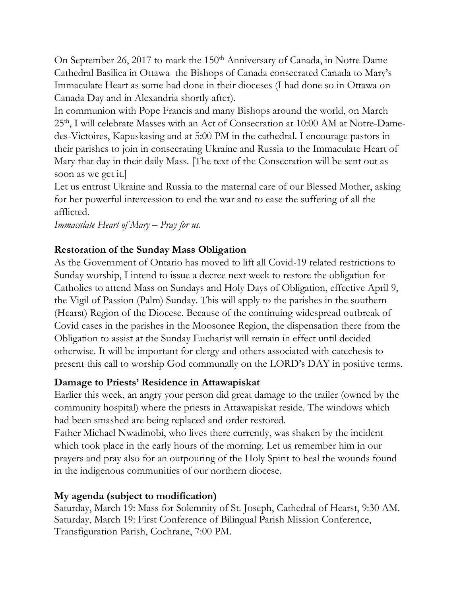On September 26, 2017 to mark the 150<sup>th</sup> Anniversary of Canada, in Notre Dame Cathedral Basilica in Ottawa the Bishops of Canada consecrated Canada to Mary's Immaculate Heart as some had done in their dioceses (I had done so in Ottawa on Canada Day and in Alexandria shortly after).

In communion with Pope Francis and many Bishops around the world, on March 25th, I will celebrate Masses with an Act of Consecration at 10:00 AM at Notre-Damedes-Victoires, Kapuskasing and at 5:00 PM in the cathedral. I encourage pastors in their parishes to join in consecrating Ukraine and Russia to the Immaculate Heart of Mary that day in their daily Mass. [The text of the Consecration will be sent out as soon as we get it.]

Let us entrust Ukraine and Russia to the maternal care of our Blessed Mother, asking for her powerful intercession to end the war and to ease the suffering of all the afflicted.

*Immaculate Heart of Mary – Pray for us.*

## **Restoration of the Sunday Mass Obligation**

As the Government of Ontario has moved to lift all Covid-19 related restrictions to Sunday worship, I intend to issue a decree next week to restore the obligation for Catholics to attend Mass on Sundays and Holy Days of Obligation, effective April 9, the Vigil of Passion (Palm) Sunday. This will apply to the parishes in the southern (Hearst) Region of the Diocese. Because of the continuing widespread outbreak of Covid cases in the parishes in the Moosonee Region, the dispensation there from the Obligation to assist at the Sunday Eucharist will remain in effect until decided otherwise. It will be important for clergy and others associated with catechesis to present this call to worship God communally on the LORD's DAY in positive terms.

## **Damage to Priests' Residence in Attawapiskat**

Earlier this week, an angry your person did great damage to the trailer (owned by the community hospital) where the priests in Attawapiskat reside. The windows which had been smashed are being replaced and order restored.

Father Michael Nwadinobi, who lives there currently, was shaken by the incident which took place in the early hours of the morning. Let us remember him in our prayers and pray also for an outpouring of the Holy Spirit to heal the wounds found in the indigenous communities of our northern diocese.

## **My agenda (subject to modification)**

Saturday, March 19: Mass for Solemnity of St. Joseph, Cathedral of Hearst, 9:30 AM. Saturday, March 19: First Conference of Bilingual Parish Mission Conference, Transfiguration Parish, Cochrane, 7:00 PM.